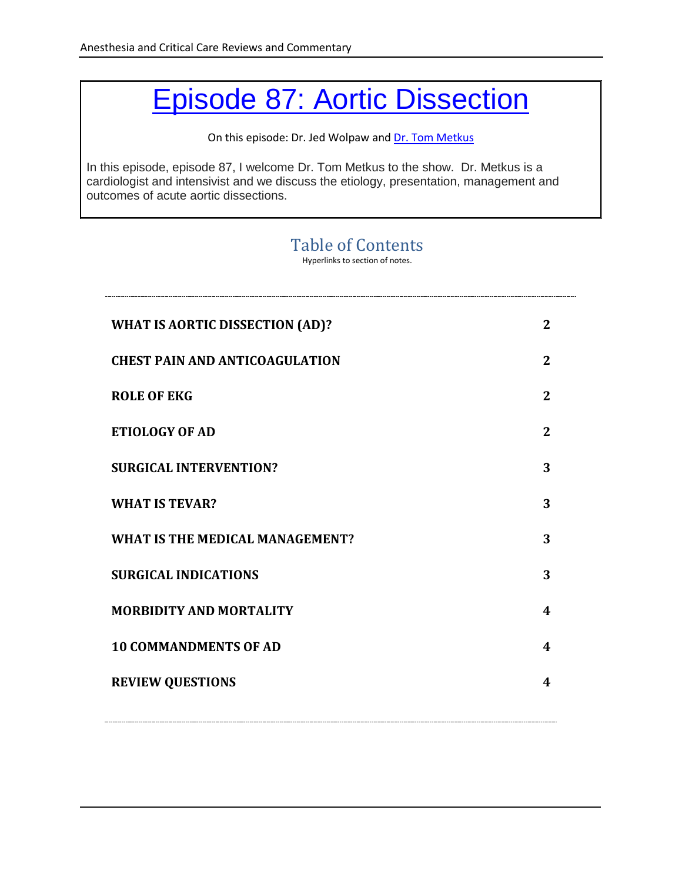# Episode 87: [Aortic Dissection](http://accrac.com/episode-87-aortic-dissection-with-tom-metkus/)

On this episode: Dr. Jed Wolpaw an[d Dr. Tom Metkus](https://www.hopkinsmedicine.org/profiles/results/directory/profile/10003453/thomas-metkus)

In this episode, episode 87, I welcome Dr. Tom Metkus to the show. Dr. Metkus is a cardiologist and intensivist and we discuss the etiology, presentation, management and outcomes of acute aortic dissections.

#### Table of Contents

Hyperlinks to section of notes.

<span id="page-0-1"></span><span id="page-0-0"></span>

| <b>WHAT IS AORTIC DISSECTION (AD)?</b> | $\mathbf{2}$   |
|----------------------------------------|----------------|
| <b>CHEST PAIN AND ANTICOAGULATION</b>  | $\overline{2}$ |
| <b>ROLE OF EKG</b>                     | $\mathbf{2}$   |
| <b>ETIOLOGY OF AD</b>                  | $\overline{2}$ |
| <b>SURGICAL INTERVENTION?</b>          | 3              |
| <b>WHAT IS TEVAR?</b>                  | 3              |
| WHAT IS THE MEDICAL MANAGEMENT?        | 3              |
| <b>SURGICAL INDICATIONS</b>            | 3              |
| <b>MORBIDITY AND MORTALITY</b>         | 4              |
| <b>10 COMMANDMENTS OF AD</b>           | 4              |
| <b>REVIEW QUESTIONS</b>                | 4              |
|                                        |                |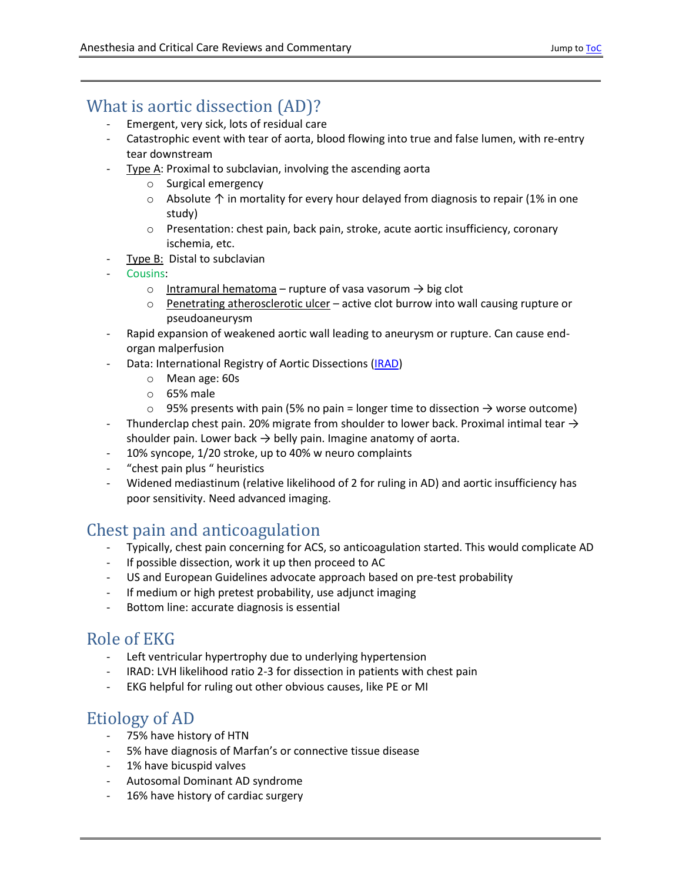### <span id="page-1-4"></span>What is aortic dissection (AD)?

- Emergent, very sick, lots of residual care
- Catastrophic event with tear of aorta, blood flowing into true and false lumen, with re-entry tear downstream
- Type A: Proximal to subclavian, involving the ascending aorta
	- o Surgical emergency
	- o Absolute ↑ in mortality for every hour delayed from diagnosis to repair (1% in one study)
	- $\circ$  Presentation: chest pain, back pain, stroke, acute aortic insufficiency, coronary ischemia, etc.
- Type B: Distal to subclavian
- Cousins:
	- o Intramural hematoma rupture of vasa vasorum  $\rightarrow$  big clot
	- o Penetrating atherosclerotic ulcer active clot burrow into wall causing rupture or pseudoaneurysm
- Rapid expansion of weakened aortic wall leading to aneurysm or rupture. Can cause endorgan malperfusion
- Data: International Registry of Aortic Dissections [\(IRAD\)](http://www.iradonline.org/index.html)
	- o Mean age: 60s
	- o 65% male
	- $\circ$  95% presents with pain (5% no pain = longer time to dissection  $\rightarrow$  worse outcome)
- Thunderclap chest pain. 20% migrate from shoulder to lower back. Proximal intimal tear  $\rightarrow$ shoulder pain. Lower back  $\rightarrow$  belly pain. Imagine anatomy of aorta.
- 10% syncope, 1/20 stroke, up to 40% w neuro complaints
- " chest pain plus " heuristics
- Widened mediastinum (relative likelihood of 2 for ruling in AD) and aortic insufficiency has poor sensitivity. Need advanced imaging.

#### <span id="page-1-0"></span>Chest pain and anticoagulation

- Typically, chest pain concerning for ACS, so anticoagulation started. This would complicate AD
- If possible dissection, work it up then proceed to AC
- US and European Guidelines advocate approach based on pre-test probability
- If medium or high pretest probability, use adjunct imaging
- Bottom line: accurate diagnosis is essential

#### <span id="page-1-1"></span>Role of EKG

- Left ventricular hypertrophy due to underlying hypertension
- IRAD: LVH likelihood ratio 2-3 for dissection in patients with chest pain
- EKG helpful for ruling out other obvious causes, like PE or MI

#### <span id="page-1-2"></span>Etiology of AD

- 75% have history of HTN
- 5% have diagnosis of Marfan's or connective tissue disease
- 1% have bicuspid valves
- Autosomal Dominant AD syndrome
- <span id="page-1-3"></span>- 16% have history of cardiac surgery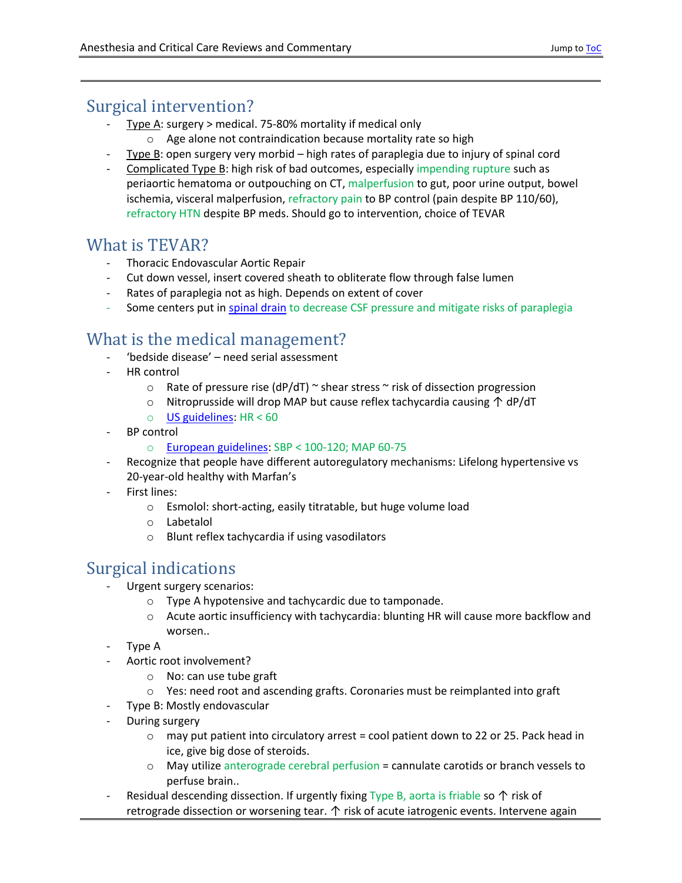#### <span id="page-2-3"></span>Surgical intervention?

- Type A: surgery > medical. 75-80% mortality if medical only
	- o Age alone not contraindication because mortality rate so high
- Type B: open surgery very morbid high rates of paraplegia due to injury of spinal cord
- Complicated Type B: high risk of bad outcomes, especially impending rupture such as periaortic hematoma or outpouching on CT, malperfusion to gut, poor urine output, bowel ischemia, visceral malperfusion, refractory pain to BP control (pain despite BP 110/60), refractory HTN despite BP meds. Should go to intervention, choice of TEVAR

#### <span id="page-2-0"></span>What is TEVAR?

- Thoracic Endovascular Aortic Repair
- Cut down vessel, insert covered sheath to obliterate flow through false lumen
- Rates of paraplegia not as high. Depends on extent of cover
- Some centers put i[n spinal drain](https://www-ncbi-nlm-nih-gov/pubmed/20688536) to decrease CSF pressure and mitigate risks of paraplegia

# <span id="page-2-1"></span>What is the medical management?

- 'bedside disease' need serial assessment
- HR control
	- $\circ$  Rate of pressure rise (dP/dT)  $\sim$  shear stress  $\sim$  risk of dissection progression
	- o Nitroprusside will drop MAP but cause reflex tachycardia causing ↑ dP/dT
	- $\circ$  US [guidelines:](https://www.ahajournals.org/doi/abs/10.1161/cir.0b013e3181d4739e) HR < 60
- BP control
	- o [European guidelines:](https://academic.oup.com/eurheartj/article-pdf/35/41/2873/17898679/ehu281.pdf) SBP < 100-120; MAP 60-75
- Recognize that people have different autoregulatory mechanisms: Lifelong hypertensive vs 20-year-old healthy with Marfan's
- First lines:
	- o Esmolol: short-acting, easily titratable, but huge volume load
	- o Labetalol
	- o Blunt reflex tachycardia if using vasodilators

# <span id="page-2-2"></span>Surgical indications

- Urgent surgery scenarios:
	- o Type A hypotensive and tachycardic due to tamponade.
	- o Acute aortic insufficiency with tachycardia: blunting HR will cause more backflow and worsen..
- Type A
- Aortic root involvement?
	- o No: can use tube graft
	- $\circ$  Yes: need root and ascending grafts. Coronaries must be reimplanted into graft
- Type B: Mostly endovascular
- During surgery
	- o may put patient into circulatory arrest = cool patient down to 22 or 25. Pack head in ice, give big dose of steroids.
	- o May utilize anterograde cerebral perfusion = cannulate carotids or branch vessels to perfuse brain..
- Residual descending dissection. If urgently fixing Type B, aorta is friable so  $\uparrow$  risk of retrograde dissection or worsening tear.  $\uparrow$  risk of acute iatrogenic events. Intervene again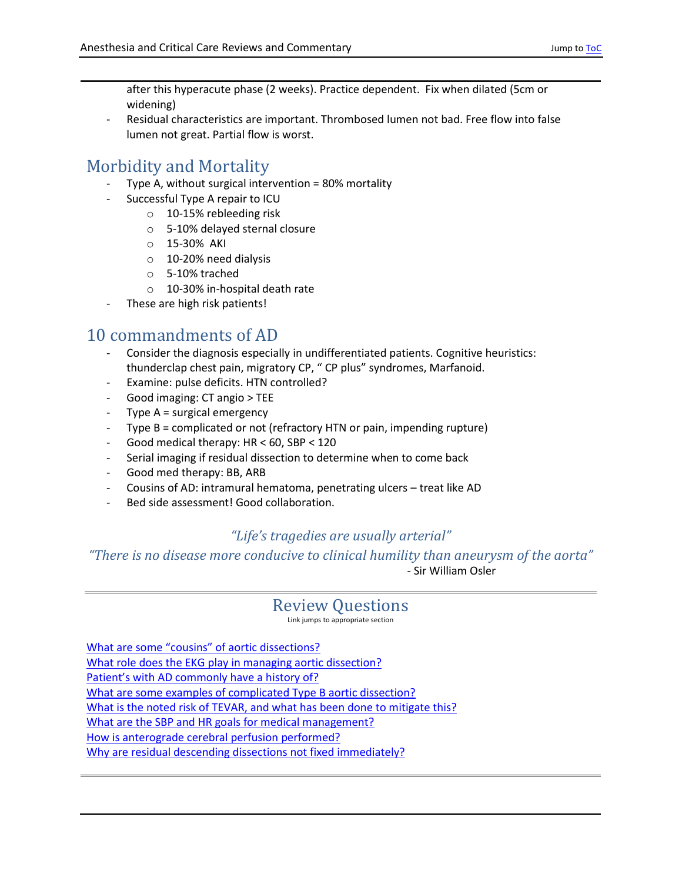after this hyperacute phase (2 weeks). Practice dependent. Fix when dilated (5cm or widening)

Residual characteristics are important. Thrombosed lumen not bad. Free flow into false lumen not great. Partial flow is worst.

### <span id="page-3-0"></span>Morbidity and Mortality

- Type A, without surgical intervention = 80% mortality
- Successful Type A repair to ICU
	- o 10-15% rebleeding risk
	- o 5-10% delayed sternal closure
	- o 15-30% AKI
	- o 10-20% need dialysis
	- o 5-10% trached
	- o 10-30% in-hospital death rate
- These are high risk patients!

#### <span id="page-3-1"></span>10 commandments of AD

- Consider the diagnosis especially in undifferentiated patients. Cognitive heuristics: thunderclap chest pain, migratory CP, " CP plus" syndromes, Marfanoid.
- Examine: pulse deficits. HTN controlled?
- Good imaging: CT angio > TEE
- Type  $A =$  surgical emergency
- Type B = complicated or not (refractory HTN or pain, impending rupture)
- Good medical therapy: HR < 60, SBP < 120
- Serial imaging if residual dissection to determine when to come back
- Good med therapy: BB, ARB
- Cousins of AD: intramural hematoma, penetrating ulcers treat like AD
- Bed side assessment! Good collaboration.

#### *"Life's tragedies are usually arterial"*

<span id="page-3-2"></span>*"There is no disease more conducive to clinical humility than aneurysm of the aorta"* - Sir William Osler

#### Review Questions

Link jumps to appropriate section

[What are some "cousins" of aortic dissections?](#page-1-4) [What role does the EKG play in managing aortic dissection?](#page-1-1) [Patient's with AD commonly have a h](#page-1-2)istory of? What [are some examples of complicated Type B aortic dissection?](#page-2-3) [What is the noted risk of TEVAR, and what has been done to mitigate this?](#page-2-0) [What are the SBP and HR goals for medical management?](#page-2-1) How is anterograde cerebral perfusion [performed?](#page-2-2) [Why are residual descending dissections not fixed immediately?](#page-2-2)